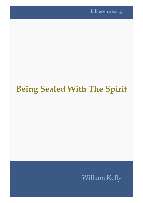biblecentre.org

## **Being Sealed With The Spirit**

William Kelly